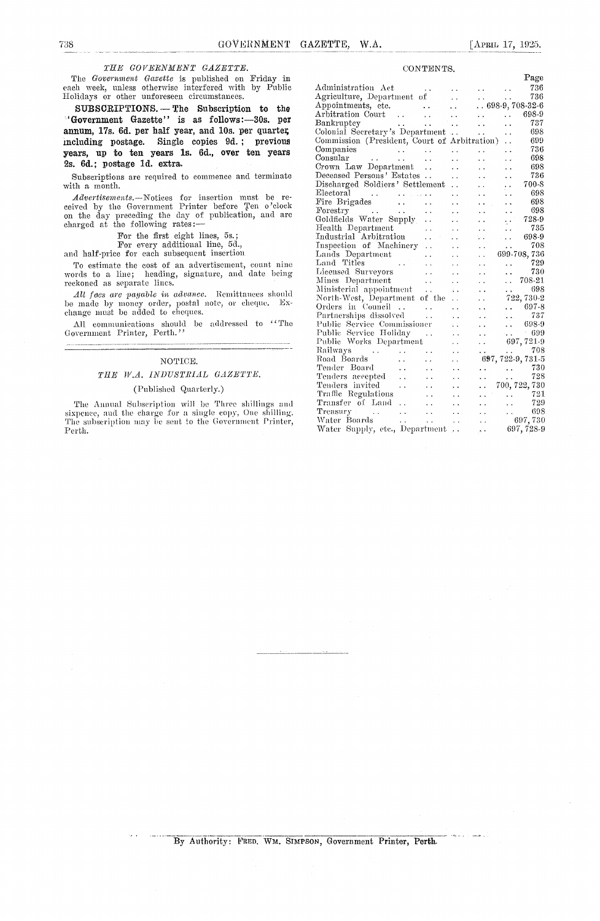#### *THE GOVERNMENT GAZETTE.*

The *Government Gazette is* published on Friday in each week, unless otherwise interfered with by Public Holidays or other unforeseen circumstances.

**SUBSCRIPTIONS.—** The Subscription to the 'Government Gazette" is as follows:-30s. per annum, 17s. 6d. per half year, and 10s. per quarter, including postage. Single copies 9d. ; previous years, up to ten years is. 6d., over ten years 2s. 6d.; postage id. extra.

Subscriptions are required to commence and terminate with a month.

*Advertisements. —Notices* for insertion must be received by the Government Printer before Ten o'clock on the day preceding the day of publication, and are charged at the following rates:

For the first eight lines, 5s.;

For every additional line, 5d.,

and half-price for each subsequent insertion

To estimate the cost of an advertisement, count nine words to a line; heading, signature, and date being reckoned as separate lines.

All *faes are payable in advance*. Remittances should a made by money order, postal note, or cheque. Exbe made by money order, postal note, or cheque. Exchange must be added to cheques.

All communications should be addressed to "The Government Printer, Perth.

#### NOTICE.

#### *THE IV.A. INDUSTRIAL GAZETTE.*

#### (Published Quarterly.)

The Annual Subscription will be Three shillings and sixpence, and the charge for a single copy, One shilling. The subscription may be sent to the Government Printer, Perth.

|  | CONTENTS. |  |
|--|-----------|--|
|--|-----------|--|

|                                                                                                    |                      |                                                           |                                            | Page                  |
|----------------------------------------------------------------------------------------------------|----------------------|-----------------------------------------------------------|--------------------------------------------|-----------------------|
| Administration Act                                                                                 |                      | $\bullet$ , $\bullet$ , $\bullet$ , $\bullet$ , $\bullet$ |                                            | 736                   |
| Agriculture, Department of                                                                         |                      |                                                           |                                            | 736                   |
|                                                                                                    | . .                  |                                                           |                                            | $. . 698-9, 708-32-6$ |
|                                                                                                    | $\ddot{\phantom{a}}$ |                                                           | $\ddot{\phantom{0}}$                       | 698-9                 |
| Bankruptey<br>$\sim$ $\sim$<br>$\sim 100$ km s $^{-1}$                                             | $\ddot{\phantom{0}}$ | $\ddot{\phantom{a}}$                                      |                                            | 737                   |
| Colonial Secretary's Department                                                                    |                      | $\ddot{\phantom{a}}$                                      | $\ddot{\phantom{a}}$                       | 698                   |
| Commission (President, Court of Arbitration)                                                       |                      |                                                           | $\ddot{\phantom{a}}$                       | 699                   |
| Companies                                                                                          | $\ddot{\phantom{0}}$ |                                                           |                                            | 736                   |
| المعامل المعامل المعاملة.<br>المعامل المعامل المعاملة<br>Consular                                  | $\ddot{\phantom{0}}$ | $\ddot{\phantom{0}}$                                      |                                            | 698                   |
| Crown Law Department<br>$\ddot{\phantom{a}}$                                                       | . .                  | . .                                                       | . .                                        | 698                   |
| Deceased Persons' Estates                                                                          | $\ddot{\phantom{0}}$ | $\ddot{\phantom{0}}$                                      | . .                                        | 736                   |
| Discharged Soldiers' Settlement                                                                    | . .                  | . .                                                       | . .                                        | 700-8                 |
| Electoral                                                                                          | . .                  |                                                           | $\ddot{\phantom{0}}$                       | 698                   |
| $\mathbf{1}$ , and $\mathbf{1}$ , and $\mathbf{1}$                                                 | . .                  |                                                           |                                            | 698                   |
| Forestry<br>$\ddot{\phantom{0}}$                                                                   | $\ddot{\phantom{0}}$ | . .                                                       | $\ddot{\phantom{0}}$                       | 698                   |
| Goldfields Water Supply<br>$\ddot{\phantom{1}}$                                                    | $\ddot{\phantom{0}}$ | $\ddot{\phantom{a}}$                                      |                                            | 728-9                 |
| Health Department<br>. .                                                                           | . .                  | . .                                                       | $\ddotsc$                                  | 735                   |
| Industrial Arbitration                                                                             |                      | V.                                                        |                                            | 698-9                 |
| Inspection of Machinery<br>$\ddot{\phantom{0}}$                                                    |                      | $\ddot{\phantom{0}}$                                      | $\ddot{\phantom{1}}$                       | 708                   |
| Lands Department<br>$\ddot{\phantom{0}}$                                                           | . .                  | $\ddot{\phantom{a}}$                                      |                                            | 699-708,736           |
| Land Titles<br>$\mathcal{L}^{\text{max}}_{\text{max}}$ and $\mathcal{L}^{\text{max}}_{\text{max}}$ |                      | . .                                                       | $\ddot{\phantom{0}}$                       | 729                   |
| Licensed Surveyors<br>$\ddot{\phantom{0}}$                                                         | . .                  | . .                                                       |                                            | 730                   |
| Mines Department<br>$\ddot{\phantom{0}}$                                                           |                      |                                                           | $\ddot{\phantom{0}}$                       | 708-21                |
| Ministerial appointment<br>$\ddot{\phantom{0}}$                                                    | $\ddot{\phantom{a}}$ | . .                                                       | <b>College</b>                             | 698                   |
| North-West, Department of the                                                                      |                      | . .                                                       |                                            | 722, 730-2            |
| Orders in Council<br>$\sim$<br>. .                                                                 | $\ddot{\phantom{0}}$ | $\ddot{\phantom{0}}$                                      |                                            | $. 697-8$             |
| Partnerships dissolved<br>$\ddot{\phantom{0}}$                                                     | $\ddot{\phantom{1}}$ |                                                           | ia.                                        | 737                   |
| Public Service Commissioner                                                                        | i. L                 | $\ddot{\phantom{1}}$                                      | $\ddot{\phantom{a}}$                       | 698-9                 |
| Public Service Holiday<br>. .                                                                      |                      | . .                                                       | <b>Service</b>                             | 699<br>$\sim$         |
| Public Works Department                                                                            |                      | . .                                                       |                                            | 697, 721-9            |
| Railways<br>$\ddot{\phantom{0}}$                                                                   |                      | $\sim$                                                    | $\mathbf{A} \cdot \mathbf{A} = \mathbf{0}$ | 708                   |
| Road Boards<br>$\mathcal{L}(\mathcal{L})$<br>έ.                                                    |                      |                                                           |                                            | 697, 722-9, 731-5     |
| Tender Board<br>$\sim$ $\sim$                                                                      |                      | $\ddot{\phantom{0}}$                                      | contract and contract                      | 730                   |
| Tenders accepted<br>$\ddot{\phantom{0}}$                                                           |                      |                                                           |                                            | 728                   |
| Tenders invited<br>$\ddot{\phantom{0}}$                                                            |                      | $\ddot{\phantom{a}}$                                      |                                            | 700, 722, 730         |
| Traffic Regulations<br>$\ddot{\phantom{a}}$                                                        |                      |                                                           | $\sim$                                     | 721                   |
| Transfer of Land<br>i.<br>$\sim$ $\sim$                                                            |                      | ùй                                                        |                                            | 729                   |
| Treasury<br>$\sim 10^{-10}$<br>$\ddot{\phantom{0}}$                                                |                      | $\ddot{\phantom{a}}$                                      | <b>Allen Control</b>                       | 698                   |
| Water Boards<br>$\mathbf{r}$ , and $\mathbf{r}$<br>$\sim$ $\lambda$                                | $\ddot{\phantom{1}}$ | $\ddot{\phantom{0}}$                                      |                                            | 697,730               |
| Water Supply, etc., Department                                                                     | $\ddot{\phantom{0}}$ | وأروز                                                     |                                            | 697, 728-9            |

By Authority: FRED. WM. SIMPSON, Government Printer, Perth.